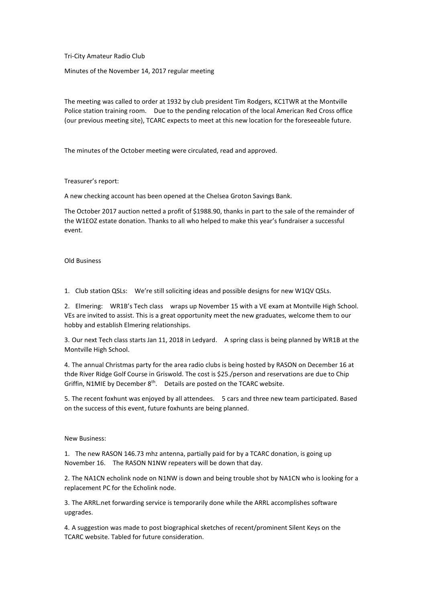Tri-City Amateur Radio Club

Minutes of the November 14, 2017 regular meeting

The meeting was called to order at 1932 by club president Tim Rodgers, KC1TWR at the Montville Police station training room. Due to the pending relocation of the local American Red Cross office (our previous meeting site), TCARC expects to meet at this new location for the foreseeable future.

The minutes of the October meeting were circulated, read and approved.

Treasurer's report:

A new checking account has been opened at the Chelsea Groton Savings Bank.

The October 2017 auction netted a profit of \$1988.90, thanks in part to the sale of the remainder of the W1EOZ estate donation. Thanks to all who helped to make this year's fundraiser a successful event.

Old Business

1. Club station QSLs: We're still soliciting ideas and possible designs for new W1QV QSLs.

2. Elmering: WR1B's Tech class wraps up November 15 with a VE exam at Montville High School. VEs are invited to assist. This is a great opportunity meet the new graduates, welcome them to our hobby and establish Elmering relationships.

3. Our next Tech class starts Jan 11, 2018 in Ledyard. A spring class is being planned by WR1B at the Montville High School.

4. The annual Christmas party for the area radio clubs is being hosted by RASON on December 16 at thde River Ridge Golf Course in Griswold. The cost is \$25./person and reservations are due to Chip Griffin, N1MIE by December  $8<sup>th</sup>$ . Details are posted on the TCARC website.

5. The recent foxhunt was enjoyed by all attendees. 5 cars and three new team participated. Based on the success of this event, future foxhunts are being planned.

New Business:

1. The new RASON 146.73 mhz antenna, partially paid for by a TCARC donation, is going up November 16. The RASON N1NW repeaters will be down that day.

2. The NA1CN echolink node on N1NW is down and being trouble shot by NA1CN who is looking for a replacement PC for the Echolink node.

3. The ARRL.net forwarding service is temporarily done while the ARRL accomplishes software upgrades.

4. A suggestion was made to post biographical sketches of recent/prominent Silent Keys on the TCARC website. Tabled for future consideration.